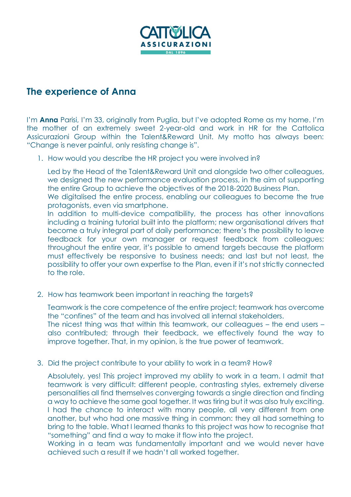

## **The experience of Anna**

I'm **Anna** Parisi, I'm 33, originally from Puglia, but I've adopted Rome as my home. I'm the mother of an extremely sweet 2-year-old and work in HR for the Cattolica Assicurazioni Group within the Talent&Reward Unit. My motto has always been: "Change is never painful, only resisting change is".

1. How would you describe the HR project you were involved in?

Led by the Head of the Talent&Reward Unit and alongside two other colleagues, we designed the new performance evaluation process, in the aim of supporting the entire Group to achieve the objectives of the 2018-2020 Business Plan.

We digitalised the entire process, enabling our colleagues to become the true protagonists, even via smartphone.

In addition to multi-device compatibility, the process has other innovations including a training tutorial built into the platform; new organisational drivers that become a truly integral part of daily performance; there's the possibility to leave feedback for your own manager or request feedback from colleagues; throughout the entire year, it's possible to amend targets because the platform must effectively be responsive to business needs; and last but not least, the possibility to offer your own expertise to the Plan, even if it's not strictly connected to the role.

2. How has teamwork been important in reaching the targets?

Teamwork is the core competence of the entire project; teamwork has overcome the "confines" of the team and has involved all internal stakeholders. The nicest thing was that within this teamwork, our colleagues – the end users – also contributed; through their feedback, we effectively found the way to improve together. That, in my opinion, is the true power of teamwork.

3. Did the project contribute to your ability to work in a team? How?

Absolutely, yes! This project improved my ability to work in a team. I admit that teamwork is very difficult: different people, contrasting styles, extremely diverse personalities all find themselves converging towards a single direction and finding a way to achieve the same goal together. It was tiring but it was also truly exciting. I had the chance to interact with many people, all very different from one another, but who had one massive thing in common: they all had something to bring to the table. What I learned thanks to this project was how to recognise that "something" and find a way to make it flow into the project.

Working in a team was fundamentally important and we would never have achieved such a result if we hadn't all worked together.